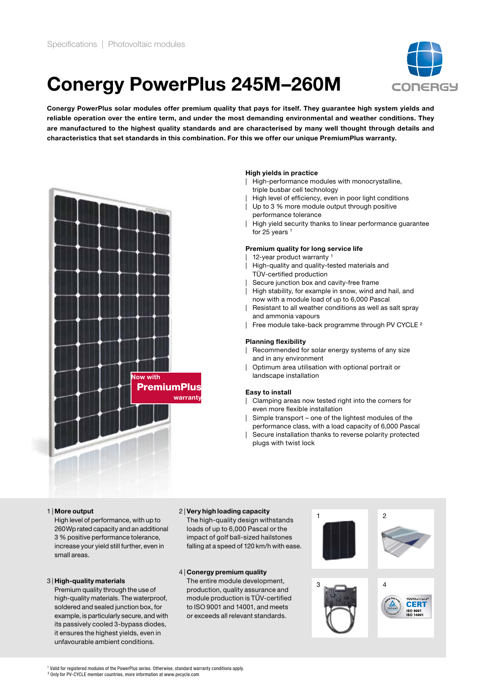## Conergy PowerPlus 245M–260M



Conergy PowerPlus solar modules offer premium quality that pays for itself. They guarantee high system yields and reliable operation over the entire term, and under the most demanding environmental and weather conditions. They are manufactured to the highest quality standards and are characterised by many well thought through details and characteristics that set standards in this combination. For this we offer our unique PremiumPlus warranty.



#### High yields in practice

- | High-performance modules with monocrystalline, triple busbar cell technology
- | High level of efficiency, even in poor light conditions
- Up to 3 % more module output through positive performance tolerance
- High yield security thanks to linear performance guarantee for 25 years<sup>1</sup>

## Premium quality for long service life

- 12-year product warranty  $1$
- High-quality and quality-tested materials and TÜV-certified production
- Secure junction box and cavity-free frame
- High stability, for example in snow, wind and hail, and now with a module load of up to 6,000 Pascal
- Resistant to all weather conditions as well as salt spray and ammonia vapours
- Free module take-back programme through PV CYCLE<sup>2</sup>

### Planning flexibility

- | Recommended for solar energy systems of any size and in any environment
- | Optimum area utilisation with optional portrait or landscape installation

#### Easy to install

- | Clamping areas now tested right into the corners for even more flexible installation
- | Simple transport one of the lightest modules of the performance class, with a load capacity of 6,000 Pascal
- Secure installation thanks to reverse polarity protected plugs with twist lock

#### 1 | More output

High level of performance, with up to 260Wp rated capacity and an additional 3 % positive performance tolerance, increase your yield still further, even in small areas.

#### 3 | High-quality materials

Premium quality through the use of high-quality materials. The waterproof, soldered and sealed junction box, for example, is particularly secure, and with its passively cooled 3-bypass diodes, it ensures the highest yields, even in unfavourable ambient conditions.

## 2 | Very high loading capacity

The high-quality design withstands loads of up to 6,000 Pascal or the impact of golf ball-sized hailstones falling at a speed of 120 km/h with ease.

## 4 | Conergy premium quality

The entire module development, production, quality assurance and module production is TÜV-certified to ISO 9001 and 14001, and meets or exceeds all relevant standards.



1 Valid for registered modules of the PowerPlus series. Otherwise, standard warranty conditions apply.

2 Only for PV-CYCLE member countries, more information at www.pvcycle.com